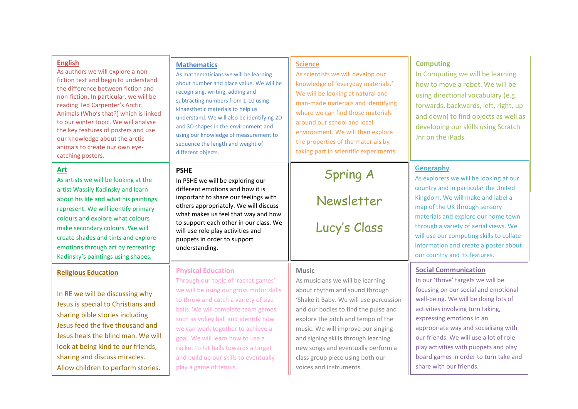| <b>English</b><br>As authors we will explore a non-<br>fiction text and begin to understand<br>the difference between fiction and<br>non-fiction. In particular, we will be<br>reading Ted Carpenter's Arctic<br>Animals (Who's that?) which is linked<br>to our winter topic. We will analyse<br>the key features of posters and use<br>our knowledge about the arctic<br>animals to create our own eye-<br>catching posters. | <b>Mathematics</b><br>As mathematicians we will be learning<br>about number and place value. We will be<br>recognising, writing, adding and<br>subtracting numbers from 1-10 using<br>kinaesthetic materials to help us<br>understand. We will also be identifying 2D<br>and 3D shapes in the environment and<br>using our knowledge of measurement to<br>sequence the length and weight of<br>different objects.     | <b>Science</b><br>As scientists we will develop our<br>knowledge of 'everyday materials.'<br>We will be looking at natural and<br>man-made materials and identifying<br>where we can find those materials<br>around our school and local<br>environment. We will then explore<br>the properties of the materials by<br>taking part in scientific experiments.                                | <b>Computing</b><br>In Computing we will be learning<br>how to move a robot. We will be<br>using directional vocabulary (e.g.<br>forwards, backwards, left, right, up<br>and down) to find objects as well as<br>developing our skills using Scratch<br>Jnr on the iPads.                                                                                                                                          |
|--------------------------------------------------------------------------------------------------------------------------------------------------------------------------------------------------------------------------------------------------------------------------------------------------------------------------------------------------------------------------------------------------------------------------------|-----------------------------------------------------------------------------------------------------------------------------------------------------------------------------------------------------------------------------------------------------------------------------------------------------------------------------------------------------------------------------------------------------------------------|----------------------------------------------------------------------------------------------------------------------------------------------------------------------------------------------------------------------------------------------------------------------------------------------------------------------------------------------------------------------------------------------|--------------------------------------------------------------------------------------------------------------------------------------------------------------------------------------------------------------------------------------------------------------------------------------------------------------------------------------------------------------------------------------------------------------------|
| Art<br>As artists we will be looking at the<br>artist Wassily Kadinsky and learn<br>about his life and what his paintings<br>represent. We will identify primary<br>colours and explore what colours<br>make secondary colours. We will<br>create shades and tints and explore<br>emotions through art by recreating<br>Kadinsky's paintings using shapes.                                                                     | <b>PSHE</b><br>In PSHE we will be exploring our<br>different emotions and how it is<br>important to share our feelings with<br>others appropriately. We will discuss<br>what makes us feel that way and how<br>to support each other in our class. We<br>will use role play activities and<br>puppets in order to support<br>understanding.                                                                           | Spring A<br>Newsletter<br>Lucy's Class                                                                                                                                                                                                                                                                                                                                                       | <b>Geography</b><br>As explorers we will be looking at our<br>country and in particular the United<br>Kingdom. We will make and label a<br>map of the UK through sensory<br>materials and explore our home town<br>through a variety of aerial views. We<br>will use our computing skills to collate<br>information and create a poster about<br>our country and its features.                                     |
| <b>Religious Education</b><br>In RE we will be discussing why<br>Jesus is special to Christians and<br>sharing bible stories including<br>Jesus feed the five thousand and<br>Jesus heals the blind man. We will<br>look at being kind to our friends,<br>sharing and discuss miracles.<br>Allow children to perform stories.                                                                                                  | <b>Physical Education</b><br>Through our topic of 'racket games'<br>we will be using our gross motor skills<br>to throw and catch a variety of size<br>balls. We will complete team games<br>such as volley ball and identify how<br>we can work together to achieve a<br>goal. We will learn how to use a<br>racket to hit balls towards a target<br>and build up our skills to eventually<br>play a game of tennis. | <b>Music</b><br>As musicians we will be learning<br>about rhythm and sound through<br>'Shake it Baby. We will use percussion<br>and our bodies to find the pulse and<br>explore the pitch and tempo of the<br>music. We will improve our singing<br>and signing skills through learning<br>new songs and eventually perform a<br>class group piece using both our<br>voices and instruments. | <b>Social Communication</b><br>In our 'thrive' targets we will be<br>focusing on our social and emotional<br>well-being. We will be doing lots of<br>activities involving turn taking,<br>expressing emotions in an<br>appropriate way and socialising with<br>our friends. We will use a lot of role<br>play activities with puppets and play<br>board games in order to turn take and<br>share with our friends. |